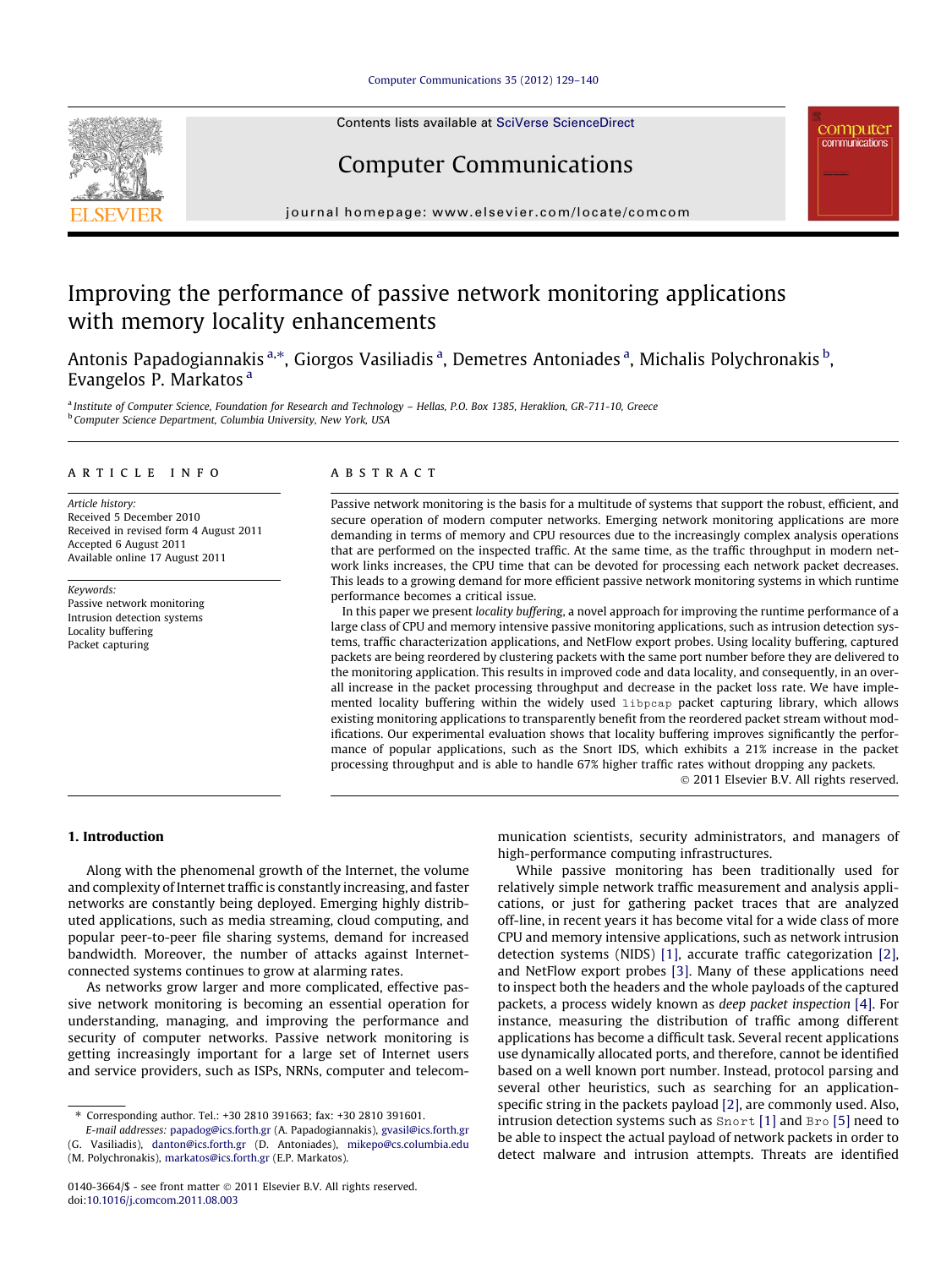# [Computer Communications 35 \(2012\) 129–140](http://dx.doi.org/10.1016/j.comcom.2011.08.003)

Contents lists available at [SciVerse ScienceDirect](http://www.sciencedirect.com/science/journal/01403664)

# Computer Communications

journal homepage: [www.elsevier.com/locate/comcom](http://www.elsevier.com/locate/comcom)

# Improving the performance of passive network monitoring applications with memory locality enhancements

Antonis Papadogiannakis <sup>a,</sup>\*, Giorgos Vasiliadis <sup>a</sup>, Demetres Antoniades <sup>a</sup>, Michalis Polychronakis <sup>b</sup>, Evangelos P. Markatos <sup>a</sup>

a Institute of Computer Science, Foundation for Research and Technology - Hellas, P.O. Box 1385, Heraklion, GR-711-10, Greece <sup>b</sup> Computer Science Department, Columbia University, New York, USA

#### article info

Article history: Received 5 December 2010 Received in revised form 4 August 2011 Accepted 6 August 2011 Available online 17 August 2011

Keywords: Passive network monitoring Intrusion detection systems Locality buffering Packet capturing

# **ABSTRACT**

Passive network monitoring is the basis for a multitude of systems that support the robust, efficient, and secure operation of modern computer networks. Emerging network monitoring applications are more demanding in terms of memory and CPU resources due to the increasingly complex analysis operations that are performed on the inspected traffic. At the same time, as the traffic throughput in modern network links increases, the CPU time that can be devoted for processing each network packet decreases. This leads to a growing demand for more efficient passive network monitoring systems in which runtime performance becomes a critical issue.

In this paper we present locality buffering, a novel approach for improving the runtime performance of a large class of CPU and memory intensive passive monitoring applications, such as intrusion detection systems, traffic characterization applications, and NetFlow export probes. Using locality buffering, captured packets are being reordered by clustering packets with the same port number before they are delivered to the monitoring application. This results in improved code and data locality, and consequently, in an overall increase in the packet processing throughput and decrease in the packet loss rate. We have implemented locality buffering within the widely used libpcap packet capturing library, which allows existing monitoring applications to transparently benefit from the reordered packet stream without modifications. Our experimental evaluation shows that locality buffering improves significantly the performance of popular applications, such as the Snort IDS, which exhibits a 21% increase in the packet processing throughput and is able to handle 67% higher traffic rates without dropping any packets.

- 2011 Elsevier B.V. All rights reserved.

computer communications

# 1. Introduction

Along with the phenomenal growth of the Internet, the volume and complexity of Internet traffic is constantly increasing, and faster networks are constantly being deployed. Emerging highly distributed applications, such as media streaming, cloud computing, and popular peer-to-peer file sharing systems, demand for increased bandwidth. Moreover, the number of attacks against Internetconnected systems continues to grow at alarming rates.

As networks grow larger and more complicated, effective passive network monitoring is becoming an essential operation for understanding, managing, and improving the performance and security of computer networks. Passive network monitoring is getting increasingly important for a large set of Internet users and service providers, such as ISPs, NRNs, computer and telecommunication scientists, security administrators, and managers of high-performance computing infrastructures.

While passive monitoring has been traditionally used for relatively simple network traffic measurement and analysis applications, or just for gathering packet traces that are analyzed off-line, in recent years it has become vital for a wide class of more CPU and memory intensive applications, such as network intrusion detection systems (NIDS) [\[1\],](#page-10-0) accurate traffic categorization [\[2\],](#page-10-0) and NetFlow export probes [\[3\]](#page-10-0). Many of these applications need to inspect both the headers and the whole payloads of the captured packets, a process widely known as deep packet inspection [\[4\].](#page-10-0) For instance, measuring the distribution of traffic among different applications has become a difficult task. Several recent applications use dynamically allocated ports, and therefore, cannot be identified based on a well known port number. Instead, protocol parsing and several other heuristics, such as searching for an applicationspecific string in the packets payload [\[2\],](#page-10-0) are commonly used. Also, intrusion detection systems such as Snort [\[1\]](#page-10-0) and Bro [\[5\]](#page-10-0) need to be able to inspect the actual payload of network packets in order to detect malware and intrusion attempts. Threats are identified



<sup>⇑</sup> Corresponding author. Tel.: +30 2810 391663; fax: +30 2810 391601.

E-mail addresses: [papadog@ics.forth.gr](mailto:papadog@ics.forth.gr) (A. Papadogiannakis), [gvasil@ics.forth.gr](mailto:gvasil@ics.forth.gr) (G. Vasiliadis), [danton@ics.forth.gr](mailto:danton@ics.forth.gr) (D. Antoniades), [mikepo@cs.columbia.edu](mailto:mikepo@cs.columbia.edu       ) (M. Polychronakis), [markatos@ics.forth.gr](mailto:markatos@ics.forth.gr) (E.P. Markatos).

<sup>0140-3664/\$ -</sup> see front matter © 2011 Elsevier B.V. All rights reserved. doi[:10.1016/j.comcom.2011.08.003](http://dx.doi.org/10.1016/j.comcom.2011.08.003)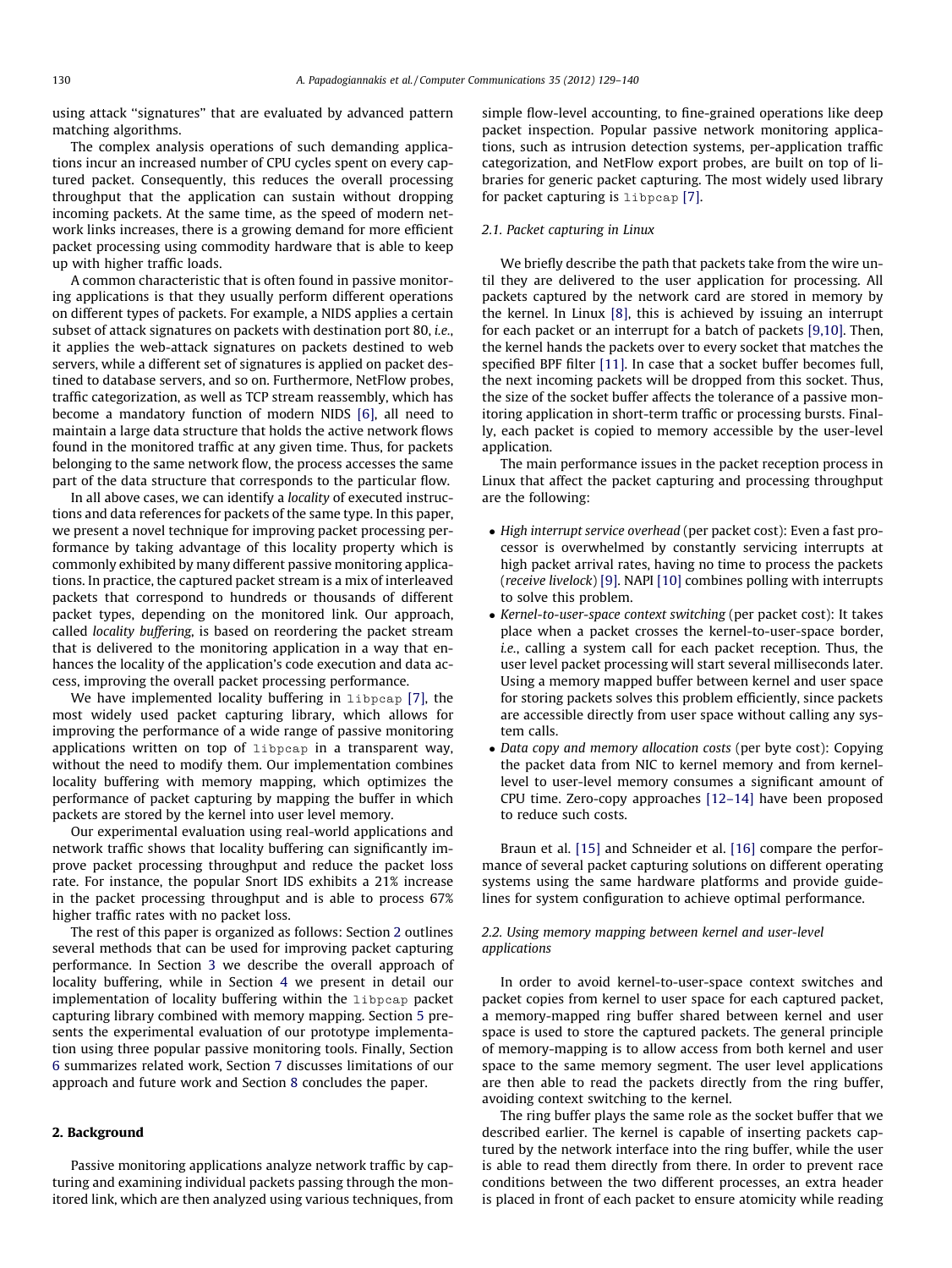<span id="page-1-0"></span>using attack ''signatures'' that are evaluated by advanced pattern matching algorithms.

The complex analysis operations of such demanding applications incur an increased number of CPU cycles spent on every captured packet. Consequently, this reduces the overall processing throughput that the application can sustain without dropping incoming packets. At the same time, as the speed of modern network links increases, there is a growing demand for more efficient packet processing using commodity hardware that is able to keep up with higher traffic loads.

A common characteristic that is often found in passive monitoring applications is that they usually perform different operations on different types of packets. For example, a NIDS applies a certain subset of attack signatures on packets with destination port 80, i.e., it applies the web-attack signatures on packets destined to web servers, while a different set of signatures is applied on packet destined to database servers, and so on. Furthermore, NetFlow probes, traffic categorization, as well as TCP stream reassembly, which has become a mandatory function of modern NIDS [\[6\]](#page-10-0), all need to maintain a large data structure that holds the active network flows found in the monitored traffic at any given time. Thus, for packets belonging to the same network flow, the process accesses the same part of the data structure that corresponds to the particular flow.

In all above cases, we can identify a locality of executed instructions and data references for packets of the same type. In this paper, we present a novel technique for improving packet processing performance by taking advantage of this locality property which is commonly exhibited by many different passive monitoring applications. In practice, the captured packet stream is a mix of interleaved packets that correspond to hundreds or thousands of different packet types, depending on the monitored link. Our approach, called locality buffering, is based on reordering the packet stream that is delivered to the monitoring application in a way that enhances the locality of the application's code execution and data access, improving the overall packet processing performance.

We have implemented locality buffering in libpcap [\[7\]](#page-10-0), the most widely used packet capturing library, which allows for improving the performance of a wide range of passive monitoring applications written on top of libpcap in a transparent way, without the need to modify them. Our implementation combines locality buffering with memory mapping, which optimizes the performance of packet capturing by mapping the buffer in which packets are stored by the kernel into user level memory.

Our experimental evaluation using real-world applications and network traffic shows that locality buffering can significantly improve packet processing throughput and reduce the packet loss rate. For instance, the popular Snort IDS exhibits a 21% increase in the packet processing throughput and is able to process 67% higher traffic rates with no packet loss.

The rest of this paper is organized as follows: Section 2 outlines several methods that can be used for improving packet capturing performance. In Section [3](#page-2-0) we describe the overall approach of locality buffering, while in Section [4](#page-3-0) we present in detail our implementation of locality buffering within the libpcap packet capturing library combined with memory mapping. Section [5](#page-5-0) presents the experimental evaluation of our prototype implementation using three popular passive monitoring tools. Finally, Section [6](#page-9-0) summarizes related work, Section [7](#page-9-0) discusses limitations of our approach and future work and Section [8](#page-10-0) concludes the paper.

# 2. Background

Passive monitoring applications analyze network traffic by capturing and examining individual packets passing through the monitored link, which are then analyzed using various techniques, from simple flow-level accounting, to fine-grained operations like deep packet inspection. Popular passive network monitoring applications, such as intrusion detection systems, per-application traffic categorization, and NetFlow export probes, are built on top of libraries for generic packet capturing. The most widely used library for packet capturing is libpcap [\[7\]](#page-10-0).

#### 2.1. Packet capturing in Linux

We briefly describe the path that packets take from the wire until they are delivered to the user application for processing. All packets captured by the network card are stored in memory by the kernel. In Linux [\[8\]](#page-10-0), this is achieved by issuing an interrupt for each packet or an interrupt for a batch of packets [\[9,10\].](#page-10-0) Then, the kernel hands the packets over to every socket that matches the specified BPF filter [\[11\].](#page-10-0) In case that a socket buffer becomes full, the next incoming packets will be dropped from this socket. Thus, the size of the socket buffer affects the tolerance of a passive monitoring application in short-term traffic or processing bursts. Finally, each packet is copied to memory accessible by the user-level application.

The main performance issues in the packet reception process in Linux that affect the packet capturing and processing throughput are the following:

- High interrupt service overhead (per packet cost): Even a fast processor is overwhelmed by constantly servicing interrupts at high packet arrival rates, having no time to process the packets (receive livelock) [\[9\].](#page-10-0) NAPI [\[10\]](#page-10-0) combines polling with interrupts to solve this problem.
- Kernel-to-user-space context switching (per packet cost): It takes place when a packet crosses the kernel-to-user-space border, i.e., calling a system call for each packet reception. Thus, the user level packet processing will start several milliseconds later. Using a memory mapped buffer between kernel and user space for storing packets solves this problem efficiently, since packets are accessible directly from user space without calling any system calls.
- Data copy and memory allocation costs (per byte cost): Copying the packet data from NIC to kernel memory and from kernellevel to user-level memory consumes a significant amount of CPU time. Zero-copy approaches [\[12–14\]](#page-10-0) have been proposed to reduce such costs.

Braun et al. [\[15\]](#page-10-0) and Schneider et al. [\[16\]](#page-10-0) compare the performance of several packet capturing solutions on different operating systems using the same hardware platforms and provide guidelines for system configuration to achieve optimal performance.

# 2.2. Using memory mapping between kernel and user-level applications

In order to avoid kernel-to-user-space context switches and packet copies from kernel to user space for each captured packet, a memory-mapped ring buffer shared between kernel and user space is used to store the captured packets. The general principle of memory-mapping is to allow access from both kernel and user space to the same memory segment. The user level applications are then able to read the packets directly from the ring buffer, avoiding context switching to the kernel.

The ring buffer plays the same role as the socket buffer that we described earlier. The kernel is capable of inserting packets captured by the network interface into the ring buffer, while the user is able to read them directly from there. In order to prevent race conditions between the two different processes, an extra header is placed in front of each packet to ensure atomicity while reading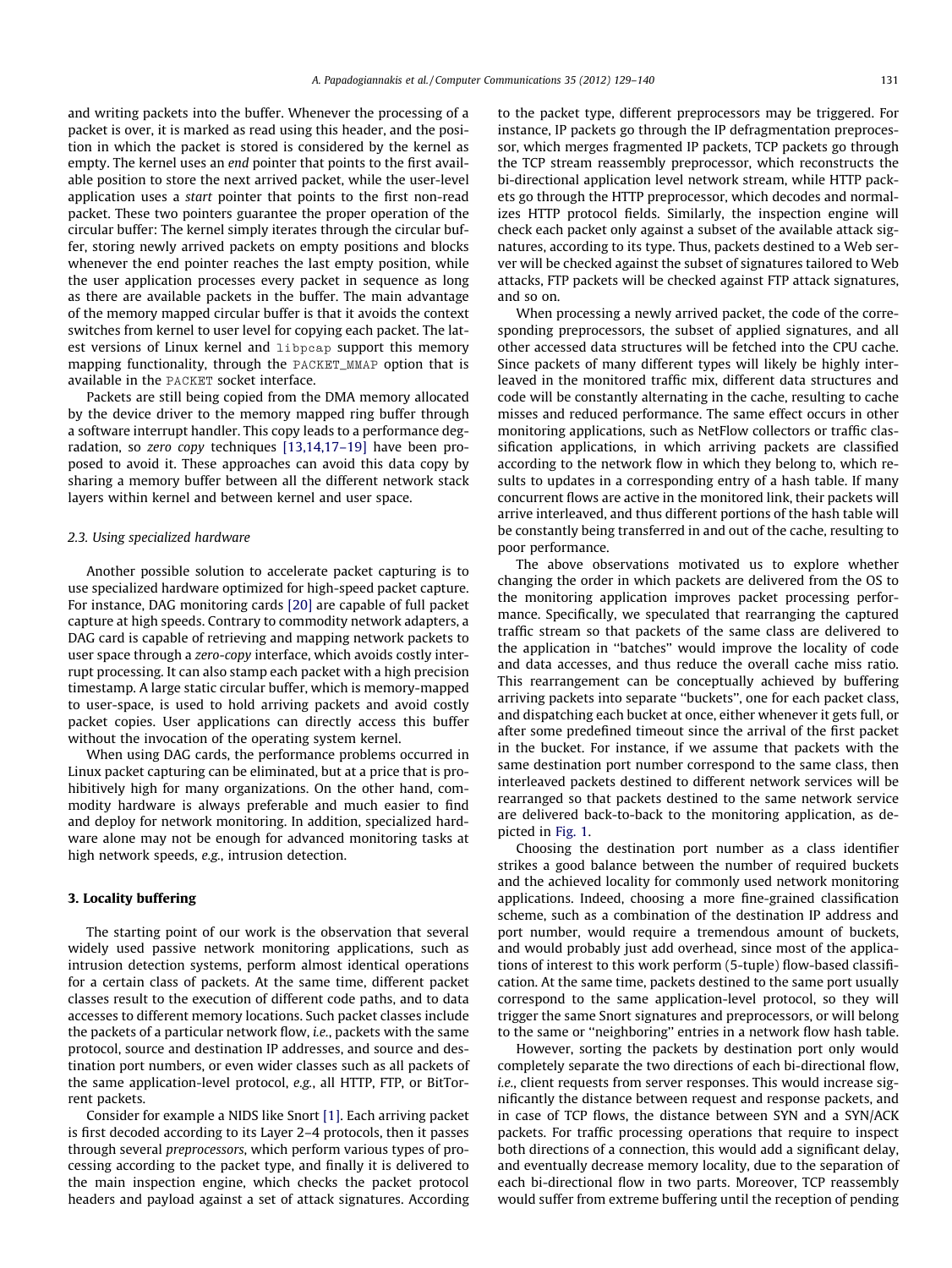<span id="page-2-0"></span>and writing packets into the buffer. Whenever the processing of a packet is over, it is marked as read using this header, and the position in which the packet is stored is considered by the kernel as empty. The kernel uses an end pointer that points to the first available position to store the next arrived packet, while the user-level application uses a start pointer that points to the first non-read packet. These two pointers guarantee the proper operation of the circular buffer: The kernel simply iterates through the circular buffer, storing newly arrived packets on empty positions and blocks whenever the end pointer reaches the last empty position, while the user application processes every packet in sequence as long as there are available packets in the buffer. The main advantage of the memory mapped circular buffer is that it avoids the context switches from kernel to user level for copying each packet. The latest versions of Linux kernel and libpcap support this memory mapping functionality, through the PACKET\_MMAP option that is available in the PACKET socket interface.

Packets are still being copied from the DMA memory allocated by the device driver to the memory mapped ring buffer through a software interrupt handler. This copy leads to a performance degradation, so zero copy techniques [\[13,14,17–19\]](#page-10-0) have been proposed to avoid it. These approaches can avoid this data copy by sharing a memory buffer between all the different network stack layers within kernel and between kernel and user space.

## 2.3. Using specialized hardware

Another possible solution to accelerate packet capturing is to use specialized hardware optimized for high-speed packet capture. For instance, DAG monitoring cards [\[20\]](#page-11-0) are capable of full packet capture at high speeds. Contrary to commodity network adapters, a DAG card is capable of retrieving and mapping network packets to user space through a zero-copy interface, which avoids costly interrupt processing. It can also stamp each packet with a high precision timestamp. A large static circular buffer, which is memory-mapped to user-space, is used to hold arriving packets and avoid costly packet copies. User applications can directly access this buffer without the invocation of the operating system kernel.

When using DAG cards, the performance problems occurred in Linux packet capturing can be eliminated, but at a price that is prohibitively high for many organizations. On the other hand, commodity hardware is always preferable and much easier to find and deploy for network monitoring. In addition, specialized hardware alone may not be enough for advanced monitoring tasks at high network speeds, e.g., intrusion detection.

# 3. Locality buffering

The starting point of our work is the observation that several widely used passive network monitoring applications, such as intrusion detection systems, perform almost identical operations for a certain class of packets. At the same time, different packet classes result to the execution of different code paths, and to data accesses to different memory locations. Such packet classes include the packets of a particular network flow, i.e., packets with the same protocol, source and destination IP addresses, and source and destination port numbers, or even wider classes such as all packets of the same application-level protocol, e.g., all HTTP, FTP, or BitTorrent packets.

Consider for example a NIDS like Snort [\[1\].](#page-10-0) Each arriving packet is first decoded according to its Layer 2–4 protocols, then it passes through several preprocessors, which perform various types of processing according to the packet type, and finally it is delivered to the main inspection engine, which checks the packet protocol headers and payload against a set of attack signatures. According to the packet type, different preprocessors may be triggered. For instance, IP packets go through the IP defragmentation preprocessor, which merges fragmented IP packets, TCP packets go through the TCP stream reassembly preprocessor, which reconstructs the bi-directional application level network stream, while HTTP packets go through the HTTP preprocessor, which decodes and normalizes HTTP protocol fields. Similarly, the inspection engine will check each packet only against a subset of the available attack signatures, according to its type. Thus, packets destined to a Web server will be checked against the subset of signatures tailored to Web attacks, FTP packets will be checked against FTP attack signatures, and so on.

When processing a newly arrived packet, the code of the corresponding preprocessors, the subset of applied signatures, and all other accessed data structures will be fetched into the CPU cache. Since packets of many different types will likely be highly interleaved in the monitored traffic mix, different data structures and code will be constantly alternating in the cache, resulting to cache misses and reduced performance. The same effect occurs in other monitoring applications, such as NetFlow collectors or traffic classification applications, in which arriving packets are classified according to the network flow in which they belong to, which results to updates in a corresponding entry of a hash table. If many concurrent flows are active in the monitored link, their packets will arrive interleaved, and thus different portions of the hash table will be constantly being transferred in and out of the cache, resulting to poor performance.

The above observations motivated us to explore whether changing the order in which packets are delivered from the OS to the monitoring application improves packet processing performance. Specifically, we speculated that rearranging the captured traffic stream so that packets of the same class are delivered to the application in ''batches'' would improve the locality of code and data accesses, and thus reduce the overall cache miss ratio. This rearrangement can be conceptually achieved by buffering arriving packets into separate ''buckets'', one for each packet class, and dispatching each bucket at once, either whenever it gets full, or after some predefined timeout since the arrival of the first packet in the bucket. For instance, if we assume that packets with the same destination port number correspond to the same class, then interleaved packets destined to different network services will be rearranged so that packets destined to the same network service are delivered back-to-back to the monitoring application, as depicted in [Fig. 1](#page-3-0).

Choosing the destination port number as a class identifier strikes a good balance between the number of required buckets and the achieved locality for commonly used network monitoring applications. Indeed, choosing a more fine-grained classification scheme, such as a combination of the destination IP address and port number, would require a tremendous amount of buckets, and would probably just add overhead, since most of the applications of interest to this work perform (5-tuple) flow-based classification. At the same time, packets destined to the same port usually correspond to the same application-level protocol, so they will trigger the same Snort signatures and preprocessors, or will belong to the same or ''neighboring'' entries in a network flow hash table.

However, sorting the packets by destination port only would completely separate the two directions of each bi-directional flow, i.e., client requests from server responses. This would increase significantly the distance between request and response packets, and in case of TCP flows, the distance between SYN and a SYN/ACK packets. For traffic processing operations that require to inspect both directions of a connection, this would add a significant delay, and eventually decrease memory locality, due to the separation of each bi-directional flow in two parts. Moreover, TCP reassembly would suffer from extreme buffering until the reception of pending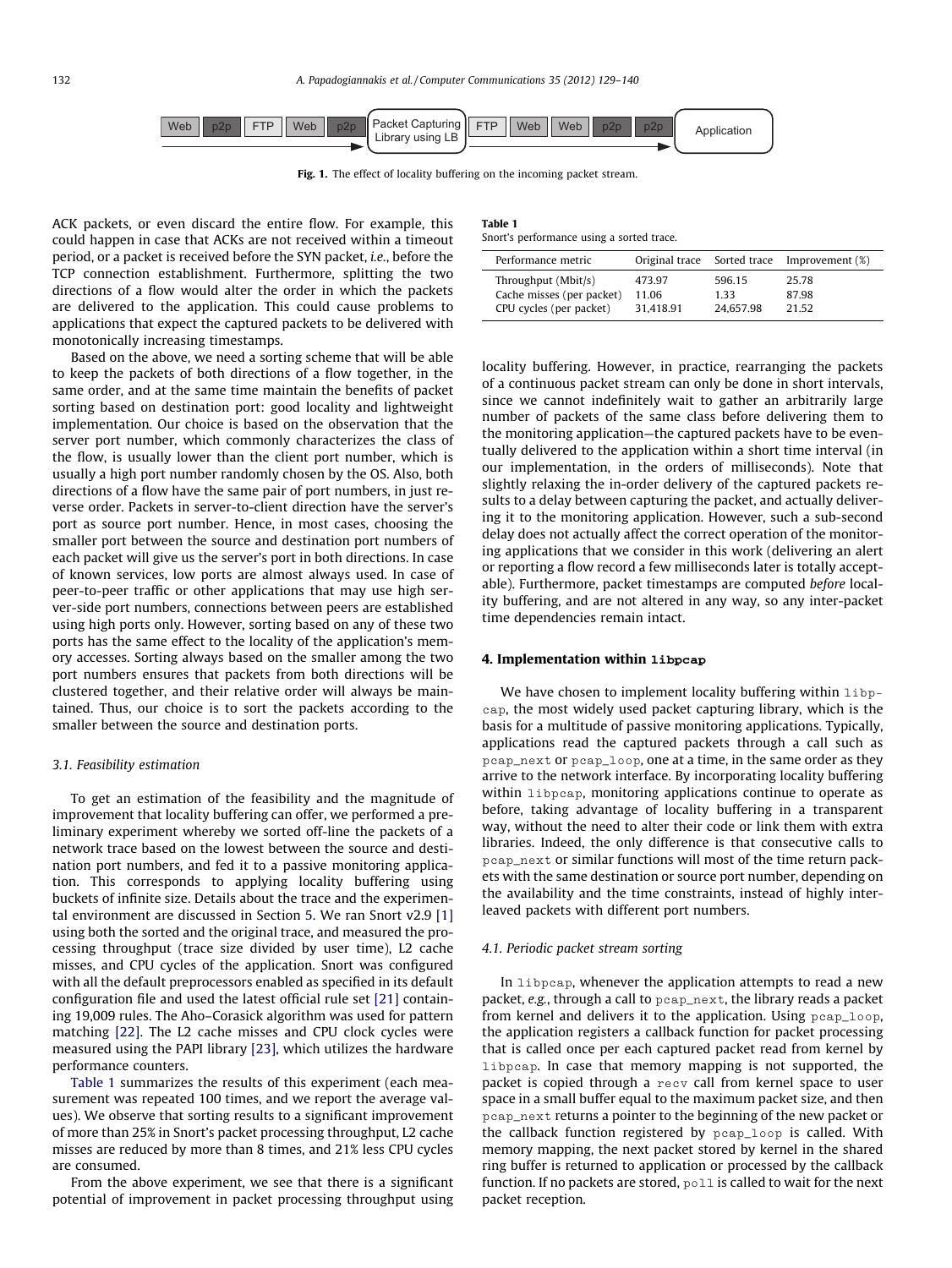<span id="page-3-0"></span>

Fig. 1. The effect of locality buffering on the incoming packet stream.

ACK packets, or even discard the entire flow. For example, this could happen in case that ACKs are not received within a timeout period, or a packet is received before the SYN packet, i.e., before the TCP connection establishment. Furthermore, splitting the two directions of a flow would alter the order in which the packets are delivered to the application. This could cause problems to applications that expect the captured packets to be delivered with monotonically increasing timestamps.

Based on the above, we need a sorting scheme that will be able to keep the packets of both directions of a flow together, in the same order, and at the same time maintain the benefits of packet sorting based on destination port: good locality and lightweight implementation. Our choice is based on the observation that the server port number, which commonly characterizes the class of the flow, is usually lower than the client port number, which is usually a high port number randomly chosen by the OS. Also, both directions of a flow have the same pair of port numbers, in just reverse order. Packets in server-to-client direction have the server's port as source port number. Hence, in most cases, choosing the smaller port between the source and destination port numbers of each packet will give us the server's port in both directions. In case of known services, low ports are almost always used. In case of peer-to-peer traffic or other applications that may use high server-side port numbers, connections between peers are established using high ports only. However, sorting based on any of these two ports has the same effect to the locality of the application's memory accesses. Sorting always based on the smaller among the two port numbers ensures that packets from both directions will be clustered together, and their relative order will always be maintained. Thus, our choice is to sort the packets according to the smaller between the source and destination ports.

## 3.1. Feasibility estimation

To get an estimation of the feasibility and the magnitude of improvement that locality buffering can offer, we performed a preliminary experiment whereby we sorted off-line the packets of a network trace based on the lowest between the source and destination port numbers, and fed it to a passive monitoring application. This corresponds to applying locality buffering using buckets of infinite size. Details about the trace and the experimental environment are discussed in Section [5.](#page-5-0) We ran Snort v2.9 [\[1\]](#page-10-0) using both the sorted and the original trace, and measured the processing throughput (trace size divided by user time), L2 cache misses, and CPU cycles of the application. Snort was configured with all the default preprocessors enabled as specified in its default configuration file and used the latest official rule set [\[21\]](#page-11-0) containing 19,009 rules. The Aho–Corasick algorithm was used for pattern matching [\[22\].](#page-11-0) The L2 cache misses and CPU clock cycles were measured using the PAPI library [\[23\],](#page-11-0) which utilizes the hardware performance counters.

Table 1 summarizes the results of this experiment (each measurement was repeated 100 times, and we report the average values). We observe that sorting results to a significant improvement of more than 25% in Snort's packet processing throughput, L2 cache misses are reduced by more than 8 times, and 21% less CPU cycles are consumed.

From the above experiment, we see that there is a significant potential of improvement in packet processing throughput using

| Table 1                                   |  |  |  |  |
|-------------------------------------------|--|--|--|--|
| Snort's performance using a sorted trace. |  |  |  |  |
|                                           |  |  |  |  |
|                                           |  |  |  |  |

| Throughput (Mbit/s)<br>473.97<br>596.15           | 25.78 |
|---------------------------------------------------|-------|
| Cache misses (per packet)<br>11.06<br>1.33        | 87.98 |
| CPU cycles (per packet)<br>31.418.91<br>24.657.98 | 21.52 |

locality buffering. However, in practice, rearranging the packets of a continuous packet stream can only be done in short intervals, since we cannot indefinitely wait to gather an arbitrarily large number of packets of the same class before delivering them to the monitoring application—the captured packets have to be eventually delivered to the application within a short time interval (in our implementation, in the orders of milliseconds). Note that slightly relaxing the in-order delivery of the captured packets results to a delay between capturing the packet, and actually delivering it to the monitoring application. However, such a sub-second delay does not actually affect the correct operation of the monitoring applications that we consider in this work (delivering an alert or reporting a flow record a few milliseconds later is totally acceptable). Furthermore, packet timestamps are computed before locality buffering, and are not altered in any way, so any inter-packet time dependencies remain intact.

#### 4. Implementation within libpcap

We have chosen to implement locality buffering within libpcap, the most widely used packet capturing library, which is the basis for a multitude of passive monitoring applications. Typically, applications read the captured packets through a call such as pcap\_next or pcap\_loop, one at a time, in the same order as they arrive to the network interface. By incorporating locality buffering within libpcap, monitoring applications continue to operate as before, taking advantage of locality buffering in a transparent way, without the need to alter their code or link them with extra libraries. Indeed, the only difference is that consecutive calls to pcap\_next or similar functions will most of the time return packets with the same destination or source port number, depending on the availability and the time constraints, instead of highly interleaved packets with different port numbers.

#### 4.1. Periodic packet stream sorting

In libpcap, whenever the application attempts to read a new packet, e.g., through a call to pcap\_next, the library reads a packet from kernel and delivers it to the application. Using peap\_loop, the application registers a callback function for packet processing that is called once per each captured packet read from kernel by libpcap. In case that memory mapping is not supported, the packet is copied through a recv call from kernel space to user space in a small buffer equal to the maximum packet size, and then pcap\_next returns a pointer to the beginning of the new packet or the callback function registered by pcap\_loop is called. With memory mapping, the next packet stored by kernel in the shared ring buffer is returned to application or processed by the callback function. If no packets are stored,  $p \circ 11$  is called to wait for the next packet reception.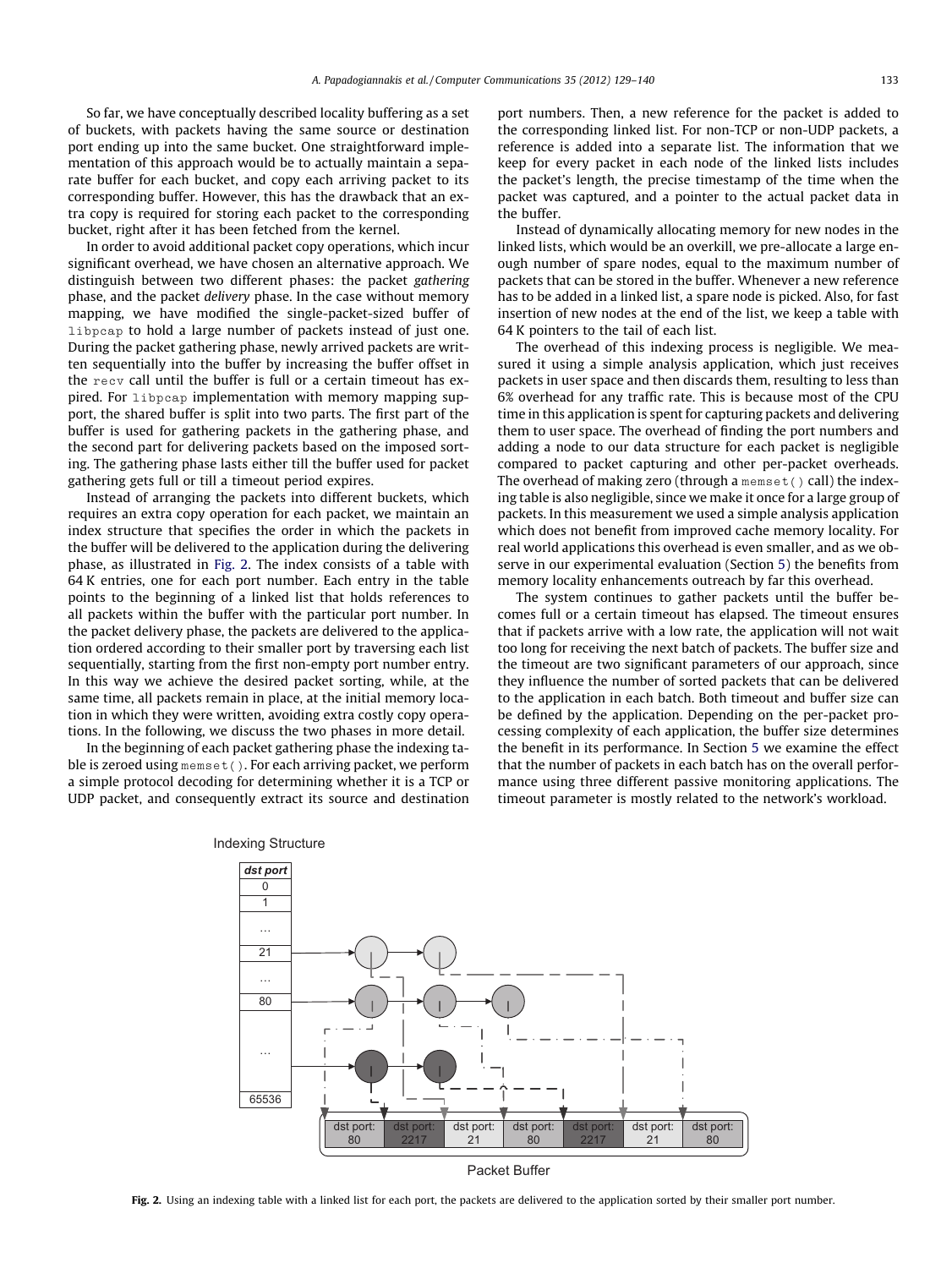<span id="page-4-0"></span>So far, we have conceptually described locality buffering as a set of buckets, with packets having the same source or destination port ending up into the same bucket. One straightforward implementation of this approach would be to actually maintain a separate buffer for each bucket, and copy each arriving packet to its corresponding buffer. However, this has the drawback that an extra copy is required for storing each packet to the corresponding bucket, right after it has been fetched from the kernel.

In order to avoid additional packet copy operations, which incur significant overhead, we have chosen an alternative approach. We distinguish between two different phases: the packet gathering phase, and the packet delivery phase. In the case without memory mapping, we have modified the single-packet-sized buffer of libpcap to hold a large number of packets instead of just one. During the packet gathering phase, newly arrived packets are written sequentially into the buffer by increasing the buffer offset in the recv call until the buffer is full or a certain timeout has expired. For libpcap implementation with memory mapping support, the shared buffer is split into two parts. The first part of the buffer is used for gathering packets in the gathering phase, and the second part for delivering packets based on the imposed sorting. The gathering phase lasts either till the buffer used for packet gathering gets full or till a timeout period expires.

Instead of arranging the packets into different buckets, which requires an extra copy operation for each packet, we maintain an index structure that specifies the order in which the packets in the buffer will be delivered to the application during the delivering phase, as illustrated in Fig. 2. The index consists of a table with 64 K entries, one for each port number. Each entry in the table points to the beginning of a linked list that holds references to all packets within the buffer with the particular port number. In the packet delivery phase, the packets are delivered to the application ordered according to their smaller port by traversing each list sequentially, starting from the first non-empty port number entry. In this way we achieve the desired packet sorting, while, at the same time, all packets remain in place, at the initial memory location in which they were written, avoiding extra costly copy operations. In the following, we discuss the two phases in more detail.

In the beginning of each packet gathering phase the indexing table is zeroed using memset(). For each arriving packet, we perform a simple protocol decoding for determining whether it is a TCP or UDP packet, and consequently extract its source and destination port numbers. Then, a new reference for the packet is added to the corresponding linked list. For non-TCP or non-UDP packets, a reference is added into a separate list. The information that we keep for every packet in each node of the linked lists includes the packet's length, the precise timestamp of the time when the packet was captured, and a pointer to the actual packet data in the buffer.

Instead of dynamically allocating memory for new nodes in the linked lists, which would be an overkill, we pre-allocate a large enough number of spare nodes, equal to the maximum number of packets that can be stored in the buffer. Whenever a new reference has to be added in a linked list, a spare node is picked. Also, for fast insertion of new nodes at the end of the list, we keep a table with 64 K pointers to the tail of each list.

The overhead of this indexing process is negligible. We measured it using a simple analysis application, which just receives packets in user space and then discards them, resulting to less than 6% overhead for any traffic rate. This is because most of the CPU time in this application is spent for capturing packets and delivering them to user space. The overhead of finding the port numbers and adding a node to our data structure for each packet is negligible compared to packet capturing and other per-packet overheads. The overhead of making zero (through a memset() call) the indexing table is also negligible, since we make it once for a large group of packets. In this measurement we used a simple analysis application which does not benefit from improved cache memory locality. For real world applications this overhead is even smaller, and as we observe in our experimental evaluation (Section [5\)](#page-5-0) the benefits from memory locality enhancements outreach by far this overhead.

The system continues to gather packets until the buffer becomes full or a certain timeout has elapsed. The timeout ensures that if packets arrive with a low rate, the application will not wait too long for receiving the next batch of packets. The buffer size and the timeout are two significant parameters of our approach, since they influence the number of sorted packets that can be delivered to the application in each batch. Both timeout and buffer size can be defined by the application. Depending on the per-packet processing complexity of each application, the buffer size determines the benefit in its performance. In Section [5](#page-5-0) we examine the effect that the number of packets in each batch has on the overall performance using three different passive monitoring applications. The timeout parameter is mostly related to the network's workload.



Packet Buffer

Fig. 2. Using an indexing table with a linked list for each port, the packets are delivered to the application sorted by their smaller port number.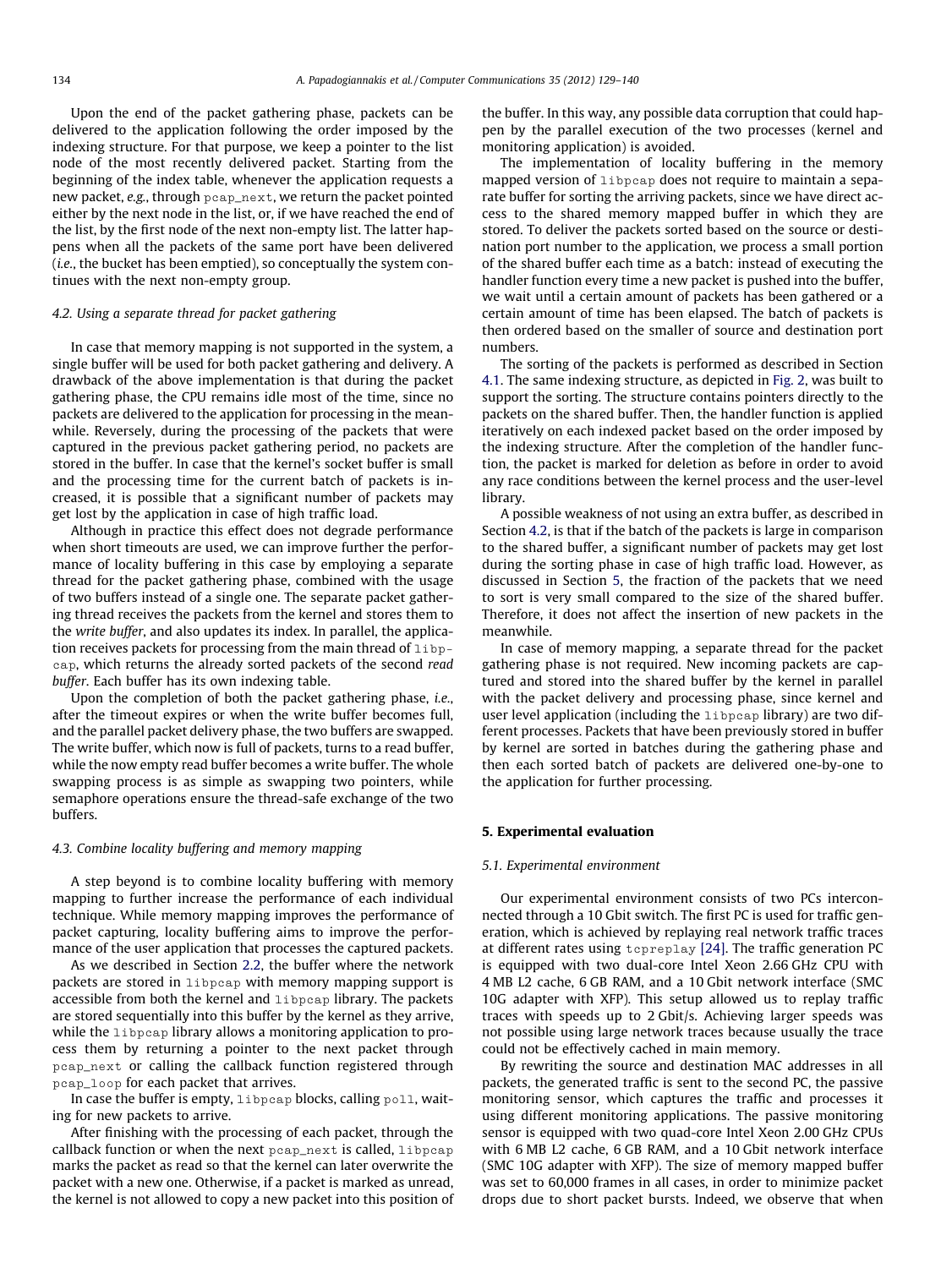<span id="page-5-0"></span>Upon the end of the packet gathering phase, packets can be delivered to the application following the order imposed by the indexing structure. For that purpose, we keep a pointer to the list node of the most recently delivered packet. Starting from the beginning of the index table, whenever the application requests a new packet, e.g., through pcap\_next, we return the packet pointed either by the next node in the list, or, if we have reached the end of the list, by the first node of the next non-empty list. The latter happens when all the packets of the same port have been delivered (i.e., the bucket has been emptied), so conceptually the system continues with the next non-empty group.

# 4.2. Using a separate thread for packet gathering

In case that memory mapping is not supported in the system, a single buffer will be used for both packet gathering and delivery. A drawback of the above implementation is that during the packet gathering phase, the CPU remains idle most of the time, since no packets are delivered to the application for processing in the meanwhile. Reversely, during the processing of the packets that were captured in the previous packet gathering period, no packets are stored in the buffer. In case that the kernel's socket buffer is small and the processing time for the current batch of packets is increased, it is possible that a significant number of packets may get lost by the application in case of high traffic load.

Although in practice this effect does not degrade performance when short timeouts are used, we can improve further the performance of locality buffering in this case by employing a separate thread for the packet gathering phase, combined with the usage of two buffers instead of a single one. The separate packet gathering thread receives the packets from the kernel and stores them to the write buffer, and also updates its index. In parallel, the application receives packets for processing from the main thread of libpcap, which returns the already sorted packets of the second read buffer. Each buffer has its own indexing table.

Upon the completion of both the packet gathering phase, i.e., after the timeout expires or when the write buffer becomes full, and the parallel packet delivery phase, the two buffers are swapped. The write buffer, which now is full of packets, turns to a read buffer, while the now empty read buffer becomes a write buffer. The whole swapping process is as simple as swapping two pointers, while semaphore operations ensure the thread-safe exchange of the two buffers.

### 4.3. Combine locality buffering and memory mapping

A step beyond is to combine locality buffering with memory mapping to further increase the performance of each individual technique. While memory mapping improves the performance of packet capturing, locality buffering aims to improve the performance of the user application that processes the captured packets.

As we described in Section [2.2](#page-1-0), the buffer where the network packets are stored in libpcap with memory mapping support is accessible from both the kernel and libpcap library. The packets are stored sequentially into this buffer by the kernel as they arrive, while the libpcap library allows a monitoring application to process them by returning a pointer to the next packet through pcap\_next or calling the callback function registered through pcap\_loop for each packet that arrives.

In case the buffer is empty,  $\exists$  ibpcap blocks, calling poll, waiting for new packets to arrive.

After finishing with the processing of each packet, through the callback function or when the next peap\_next is called, libpcap marks the packet as read so that the kernel can later overwrite the packet with a new one. Otherwise, if a packet is marked as unread, the kernel is not allowed to copy a new packet into this position of the buffer. In this way, any possible data corruption that could happen by the parallel execution of the two processes (kernel and monitoring application) is avoided.

The implementation of locality buffering in the memory mapped version of libpcap does not require to maintain a separate buffer for sorting the arriving packets, since we have direct access to the shared memory mapped buffer in which they are stored. To deliver the packets sorted based on the source or destination port number to the application, we process a small portion of the shared buffer each time as a batch: instead of executing the handler function every time a new packet is pushed into the buffer, we wait until a certain amount of packets has been gathered or a certain amount of time has been elapsed. The batch of packets is then ordered based on the smaller of source and destination port numbers.

The sorting of the packets is performed as described in Section [4.1](#page-3-0). The same indexing structure, as depicted in [Fig. 2,](#page-4-0) was built to support the sorting. The structure contains pointers directly to the packets on the shared buffer. Then, the handler function is applied iteratively on each indexed packet based on the order imposed by the indexing structure. After the completion of the handler function, the packet is marked for deletion as before in order to avoid any race conditions between the kernel process and the user-level library.

A possible weakness of not using an extra buffer, as described in Section 4.2, is that if the batch of the packets is large in comparison to the shared buffer, a significant number of packets may get lost during the sorting phase in case of high traffic load. However, as discussed in Section 5, the fraction of the packets that we need to sort is very small compared to the size of the shared buffer. Therefore, it does not affect the insertion of new packets in the meanwhile.

In case of memory mapping, a separate thread for the packet gathering phase is not required. New incoming packets are captured and stored into the shared buffer by the kernel in parallel with the packet delivery and processing phase, since kernel and user level application (including the libpcap library) are two different processes. Packets that have been previously stored in buffer by kernel are sorted in batches during the gathering phase and then each sorted batch of packets are delivered one-by-one to the application for further processing.

# 5. Experimental evaluation

#### 5.1. Experimental environment

Our experimental environment consists of two PCs interconnected through a 10 Gbit switch. The first PC is used for traffic generation, which is achieved by replaying real network traffic traces at different rates using tcpreplay [\[24\].](#page-11-0) The traffic generation PC is equipped with two dual-core Intel Xeon 2.66 GHz CPU with 4 MB L2 cache, 6 GB RAM, and a 10 Gbit network interface (SMC 10G adapter with XFP). This setup allowed us to replay traffic traces with speeds up to 2 Gbit/s. Achieving larger speeds was not possible using large network traces because usually the trace could not be effectively cached in main memory.

By rewriting the source and destination MAC addresses in all packets, the generated traffic is sent to the second PC, the passive monitoring sensor, which captures the traffic and processes it using different monitoring applications. The passive monitoring sensor is equipped with two quad-core Intel Xeon 2.00 GHz CPUs with 6 MB L2 cache, 6 GB RAM, and a 10 Gbit network interface (SMC 10G adapter with XFP). The size of memory mapped buffer was set to 60,000 frames in all cases, in order to minimize packet drops due to short packet bursts. Indeed, we observe that when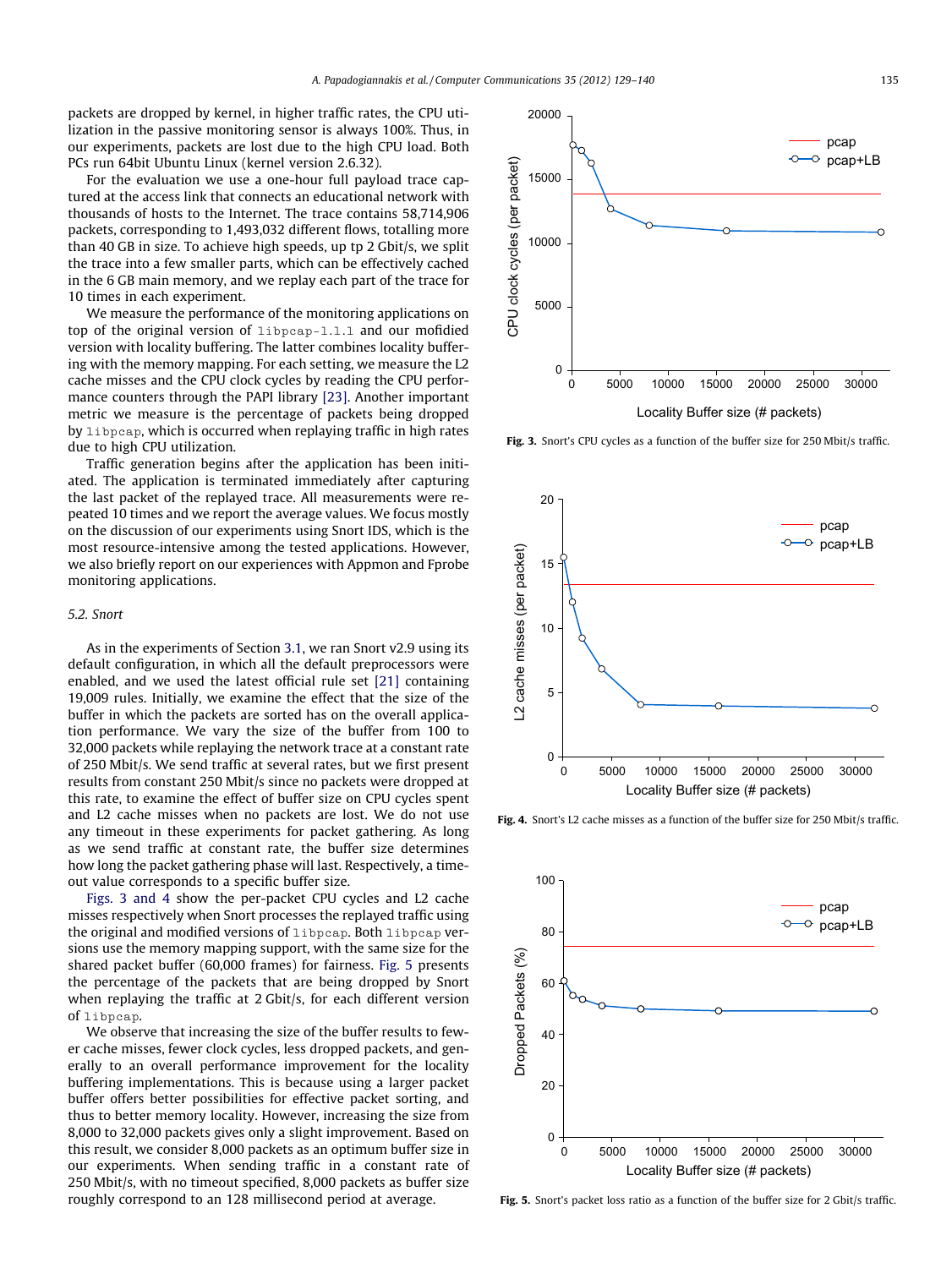packets are dropped by kernel, in higher traffic rates, the CPU utilization in the passive monitoring sensor is always 100%. Thus, in our experiments, packets are lost due to the high CPU load. Both PCs run 64bit Ubuntu Linux (kernel version 2.6.32).

For the evaluation we use a one-hour full payload trace captured at the access link that connects an educational network with thousands of hosts to the Internet. The trace contains 58,714,906 packets, corresponding to 1,493,032 different flows, totalling more than 40 GB in size. To achieve high speeds, up tp 2 Gbit/s, we split the trace into a few smaller parts, which can be effectively cached in the 6 GB main memory, and we replay each part of the trace for 10 times in each experiment.

We measure the performance of the monitoring applications on top of the original version of libpcap-1.1.1 and our mofidied version with locality buffering. The latter combines locality buffering with the memory mapping. For each setting, we measure the L2 cache misses and the CPU clock cycles by reading the CPU performance counters through the PAPI library [\[23\]](#page-11-0). Another important metric we measure is the percentage of packets being dropped by libpcap, which is occurred when replaying traffic in high rates due to high CPU utilization.

Traffic generation begins after the application has been initiated. The application is terminated immediately after capturing the last packet of the replayed trace. All measurements were repeated 10 times and we report the average values. We focus mostly on the discussion of our experiments using Snort IDS, which is the most resource-intensive among the tested applications. However, we also briefly report on our experiences with Appmon and Fprobe monitoring applications.

#### 5.2. Snort

As in the experiments of Section [3.1](#page-3-0), we ran Snort v2.9 using its default configuration, in which all the default preprocessors were enabled, and we used the latest official rule set [\[21\]](#page-11-0) containing 19,009 rules. Initially, we examine the effect that the size of the buffer in which the packets are sorted has on the overall application performance. We vary the size of the buffer from 100 to 32,000 packets while replaying the network trace at a constant rate of 250 Mbit/s. We send traffic at several rates, but we first present results from constant 250 Mbit/s since no packets were dropped at this rate, to examine the effect of buffer size on CPU cycles spent and L2 cache misses when no packets are lost. We do not use any timeout in these experiments for packet gathering. As long as we send traffic at constant rate, the buffer size determines how long the packet gathering phase will last. Respectively, a timeout value corresponds to a specific buffer size.

Figs. 3 and 4 show the per-packet CPU cycles and L2 cache misses respectively when Snort processes the replayed traffic using the original and modified versions of libpcap. Both libpcap versions use the memory mapping support, with the same size for the shared packet buffer (60,000 frames) for fairness. Fig. 5 presents the percentage of the packets that are being dropped by Snort when replaying the traffic at 2 Gbit/s, for each different version of libpcap.

We observe that increasing the size of the buffer results to fewer cache misses, fewer clock cycles, less dropped packets, and generally to an overall performance improvement for the locality buffering implementations. This is because using a larger packet buffer offers better possibilities for effective packet sorting, and thus to better memory locality. However, increasing the size from 8,000 to 32,000 packets gives only a slight improvement. Based on this result, we consider 8,000 packets as an optimum buffer size in our experiments. When sending traffic in a constant rate of 250 Mbit/s, with no timeout specified, 8,000 packets as buffer size roughly correspond to an 128 millisecond period at average.



Fig. 3. Snort's CPU cycles as a function of the buffer size for 250 Mbit/s traffic.



Fig. 4. Snort's L2 cache misses as a function of the buffer size for 250 Mbit/s traffic.



Fig. 5. Snort's packet loss ratio as a function of the buffer size for 2 Gbit/s traffic.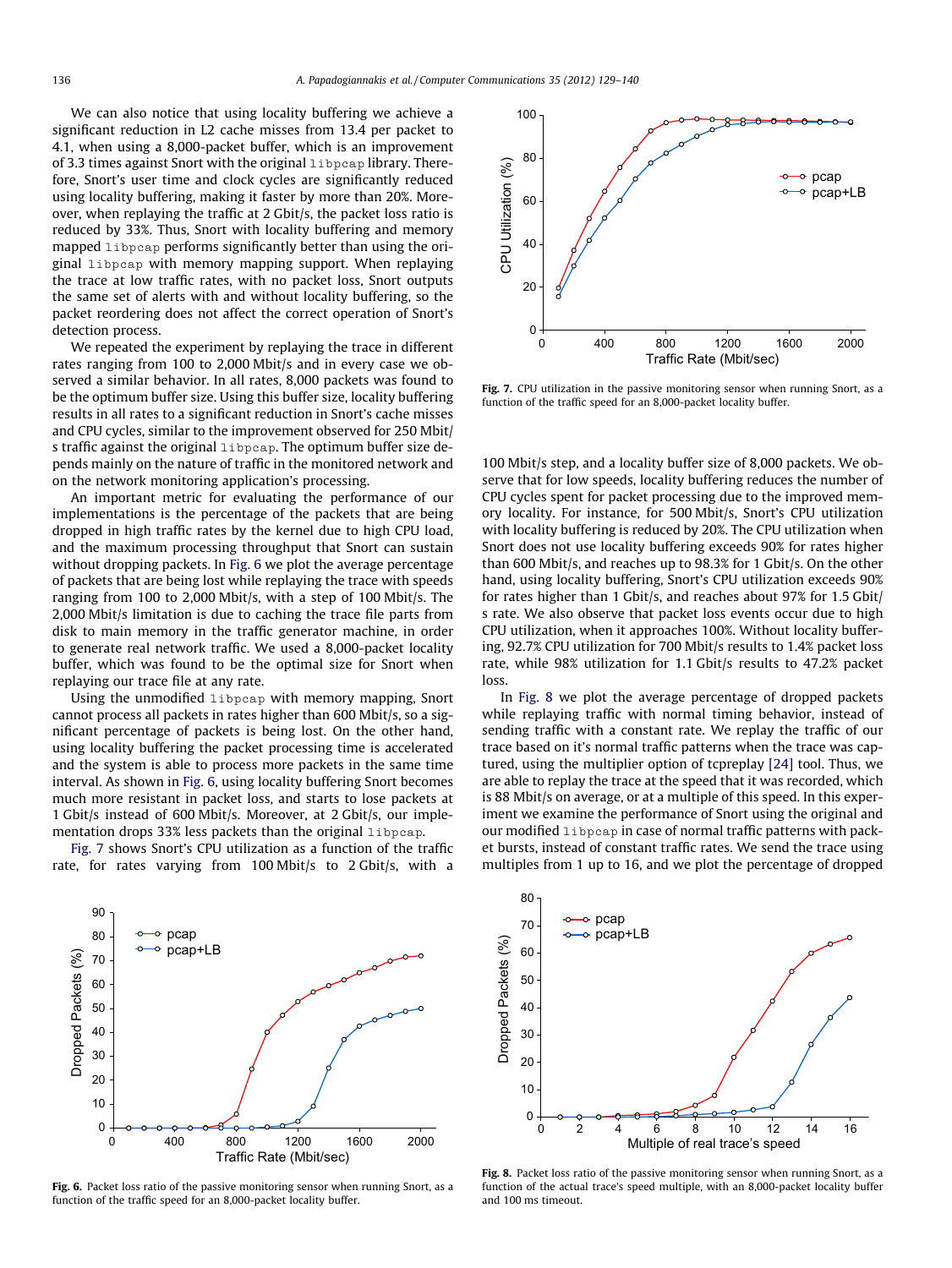We can also notice that using locality buffering we achieve a significant reduction in L2 cache misses from 13.4 per packet to 4.1, when using a 8,000-packet buffer, which is an improvement of 3.3 times against Snort with the original libpcap library. Therefore, Snort's user time and clock cycles are significantly reduced using locality buffering, making it faster by more than 20%. Moreover, when replaying the traffic at 2 Gbit/s, the packet loss ratio is reduced by 33%. Thus, Snort with locality buffering and memory mapped libpcap performs significantly better than using the original libpcap with memory mapping support. When replaying the trace at low traffic rates, with no packet loss, Snort outputs the same set of alerts with and without locality buffering, so the packet reordering does not affect the correct operation of Snort's detection process.

We repeated the experiment by replaying the trace in different rates ranging from 100 to 2,000 Mbit/s and in every case we observed a similar behavior. In all rates, 8,000 packets was found to be the optimum buffer size. Using this buffer size, locality buffering results in all rates to a significant reduction in Snort's cache misses and CPU cycles, similar to the improvement observed for 250 Mbit/ s traffic against the original libpcap. The optimum buffer size depends mainly on the nature of traffic in the monitored network and on the network monitoring application's processing.

An important metric for evaluating the performance of our implementations is the percentage of the packets that are being dropped in high traffic rates by the kernel due to high CPU load, and the maximum processing throughput that Snort can sustain without dropping packets. In Fig. 6 we plot the average percentage of packets that are being lost while replaying the trace with speeds ranging from 100 to 2,000 Mbit/s, with a step of 100 Mbit/s. The 2,000 Mbit/s limitation is due to caching the trace file parts from disk to main memory in the traffic generator machine, in order to generate real network traffic. We used a 8,000-packet locality buffer, which was found to be the optimal size for Snort when replaying our trace file at any rate.

Using the unmodified libpcap with memory mapping, Snort cannot process all packets in rates higher than 600 Mbit/s, so a significant percentage of packets is being lost. On the other hand, using locality buffering the packet processing time is accelerated and the system is able to process more packets in the same time interval. As shown in Fig. 6, using locality buffering Snort becomes much more resistant in packet loss, and starts to lose packets at 1 Gbit/s instead of 600 Mbit/s. Moreover, at 2 Gbit/s, our implementation drops 33% less packets than the original libpcap.

Fig. 7 shows Snort's CPU utilization as a function of the traffic rate, for rates varying from 100 Mbit/s to 2 Gbit/s, with a



Fig. 6. Packet loss ratio of the passive monitoring sensor when running Snort, as a function of the traffic speed for an 8,000-packet locality buffer.



Fig. 7. CPU utilization in the passive monitoring sensor when running Snort, as a function of the traffic speed for an 8,000-packet locality buffer.

100 Mbit/s step, and a locality buffer size of 8,000 packets. We observe that for low speeds, locality buffering reduces the number of CPU cycles spent for packet processing due to the improved memory locality. For instance, for 500 Mbit/s, Snort's CPU utilization with locality buffering is reduced by 20%. The CPU utilization when Snort does not use locality buffering exceeds 90% for rates higher than 600 Mbit/s, and reaches up to 98.3% for 1 Gbit/s. On the other hand, using locality buffering, Snort's CPU utilization exceeds 90% for rates higher than 1 Gbit/s, and reaches about 97% for 1.5 Gbit/ s rate. We also observe that packet loss events occur due to high CPU utilization, when it approaches 100%. Without locality buffering, 92.7% CPU utilization for 700 Mbit/s results to 1.4% packet loss rate, while 98% utilization for 1.1 Gbit/s results to 47.2% packet loss

In Fig. 8 we plot the average percentage of dropped packets while replaying traffic with normal timing behavior, instead of sending traffic with a constant rate. We replay the traffic of our trace based on it's normal traffic patterns when the trace was captured, using the multiplier option of tcpreplay [\[24\]](#page-11-0) tool. Thus, we are able to replay the trace at the speed that it was recorded, which is 88 Mbit/s on average, or at a multiple of this speed. In this experiment we examine the performance of Snort using the original and our modified libpcap in case of normal traffic patterns with packet bursts, instead of constant traffic rates. We send the trace using multiples from 1 up to 16, and we plot the percentage of dropped



Fig. 8. Packet loss ratio of the passive monitoring sensor when running Snort, as a function of the actual trace's speed multiple, with an 8,000-packet locality buffer and 100 ms timeout.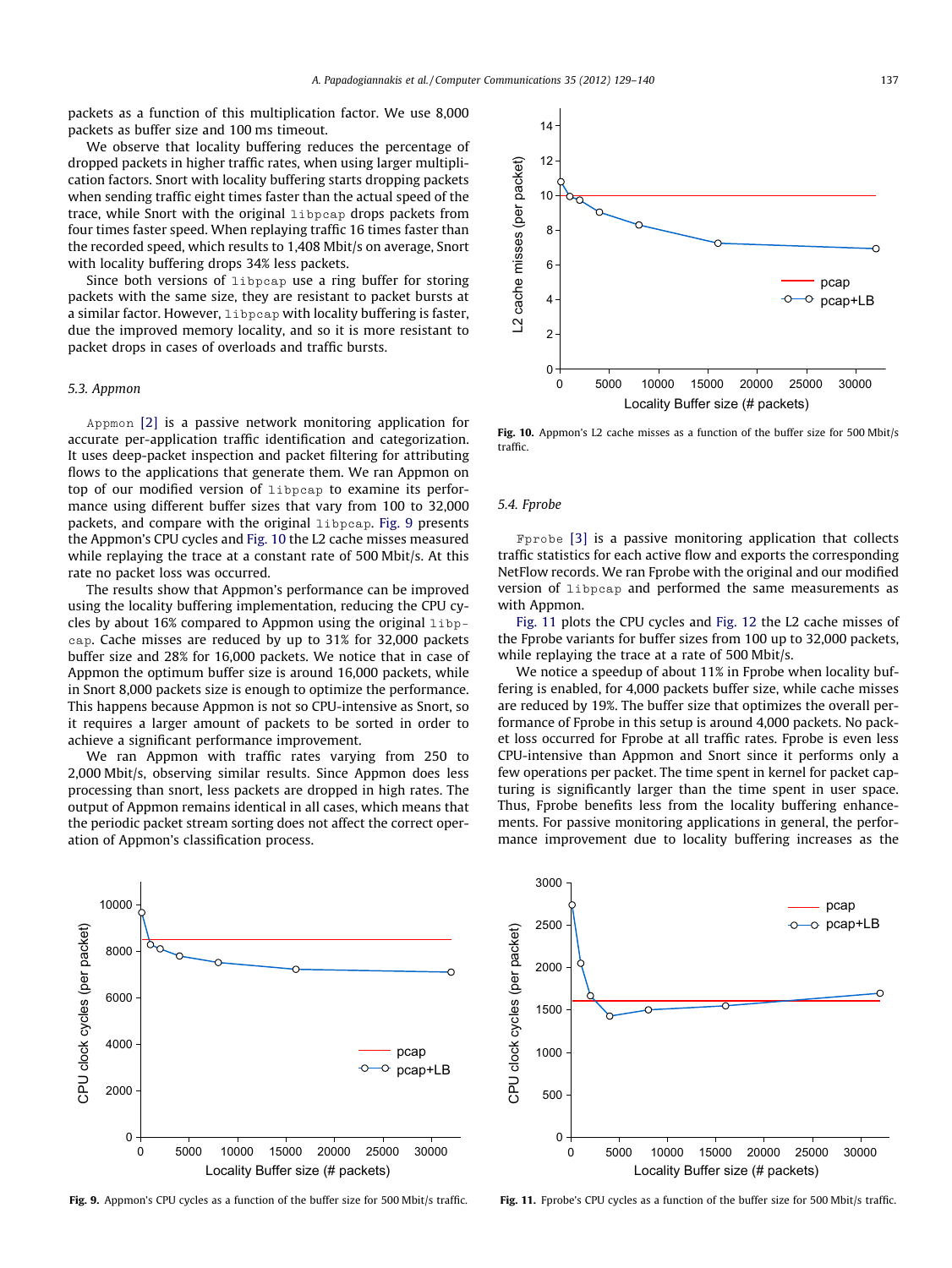packets as a function of this multiplication factor. We use 8,000 packets as buffer size and 100 ms timeout.

We observe that locality buffering reduces the percentage of dropped packets in higher traffic rates, when using larger multiplication factors. Snort with locality buffering starts dropping packets when sending traffic eight times faster than the actual speed of the trace, while Snort with the original libpcap drops packets from four times faster speed. When replaying traffic 16 times faster than the recorded speed, which results to 1,408 Mbit/s on average, Snort with locality buffering drops 34% less packets.

Since both versions of libpcap use a ring buffer for storing packets with the same size, they are resistant to packet bursts at a similar factor. However, libpcap with locality buffering is faster, due the improved memory locality, and so it is more resistant to packet drops in cases of overloads and traffic bursts.

# 5.3. Appmon

Appmon [\[2\]](#page-10-0) is a passive network monitoring application for accurate per-application traffic identification and categorization. It uses deep-packet inspection and packet filtering for attributing flows to the applications that generate them. We ran Appmon on top of our modified version of libpcap to examine its performance using different buffer sizes that vary from 100 to 32,000 packets, and compare with the original libpcap. Fig. 9 presents the Appmon's CPU cycles and Fig. 10 the L2 cache misses measured while replaying the trace at a constant rate of 500 Mbit/s. At this rate no packet loss was occurred.

The results show that Appmon's performance can be improved using the locality buffering implementation, reducing the CPU cycles by about 16% compared to Appmon using the original libpcap. Cache misses are reduced by up to 31% for 32,000 packets buffer size and 28% for 16,000 packets. We notice that in case of Appmon the optimum buffer size is around 16,000 packets, while in Snort 8,000 packets size is enough to optimize the performance. This happens because Appmon is not so CPU-intensive as Snort, so it requires a larger amount of packets to be sorted in order to achieve a significant performance improvement.

We ran Appmon with traffic rates varying from 250 to 2,000 Mbit/s, observing similar results. Since Appmon does less processing than snort, less packets are dropped in high rates. The output of Appmon remains identical in all cases, which means that the periodic packet stream sorting does not affect the correct operation of Appmon's classification process.



Fig. 10. Appmon's L2 cache misses as a function of the buffer size for 500 Mbit/s traffic.

#### 5.4. Fprobe

Fprobe [\[3\]](#page-10-0) is a passive monitoring application that collects traffic statistics for each active flow and exports the corresponding NetFlow records. We ran Fprobe with the original and our modified version of libpcap and performed the same measurements as with Appmon.

Fig. 11 plots the CPU cycles and [Fig. 12](#page-9-0) the L2 cache misses of the Fprobe variants for buffer sizes from 100 up to 32,000 packets, while replaying the trace at a rate of 500 Mbit/s.

We notice a speedup of about 11% in Fprobe when locality buffering is enabled, for 4,000 packets buffer size, while cache misses are reduced by 19%. The buffer size that optimizes the overall performance of Fprobe in this setup is around 4,000 packets. No packet loss occurred for Fprobe at all traffic rates. Fprobe is even less CPU-intensive than Appmon and Snort since it performs only a few operations per packet. The time spent in kernel for packet capturing is significantly larger than the time spent in user space. Thus, Fprobe benefits less from the locality buffering enhancements. For passive monitoring applications in general, the performance improvement due to locality buffering increases as the





Fig. 9. Appmon's CPU cycles as a function of the buffer size for 500 Mbit/s traffic.

Fig. 11. Fprobe's CPU cycles as a function of the buffer size for 500 Mbit/s traffic.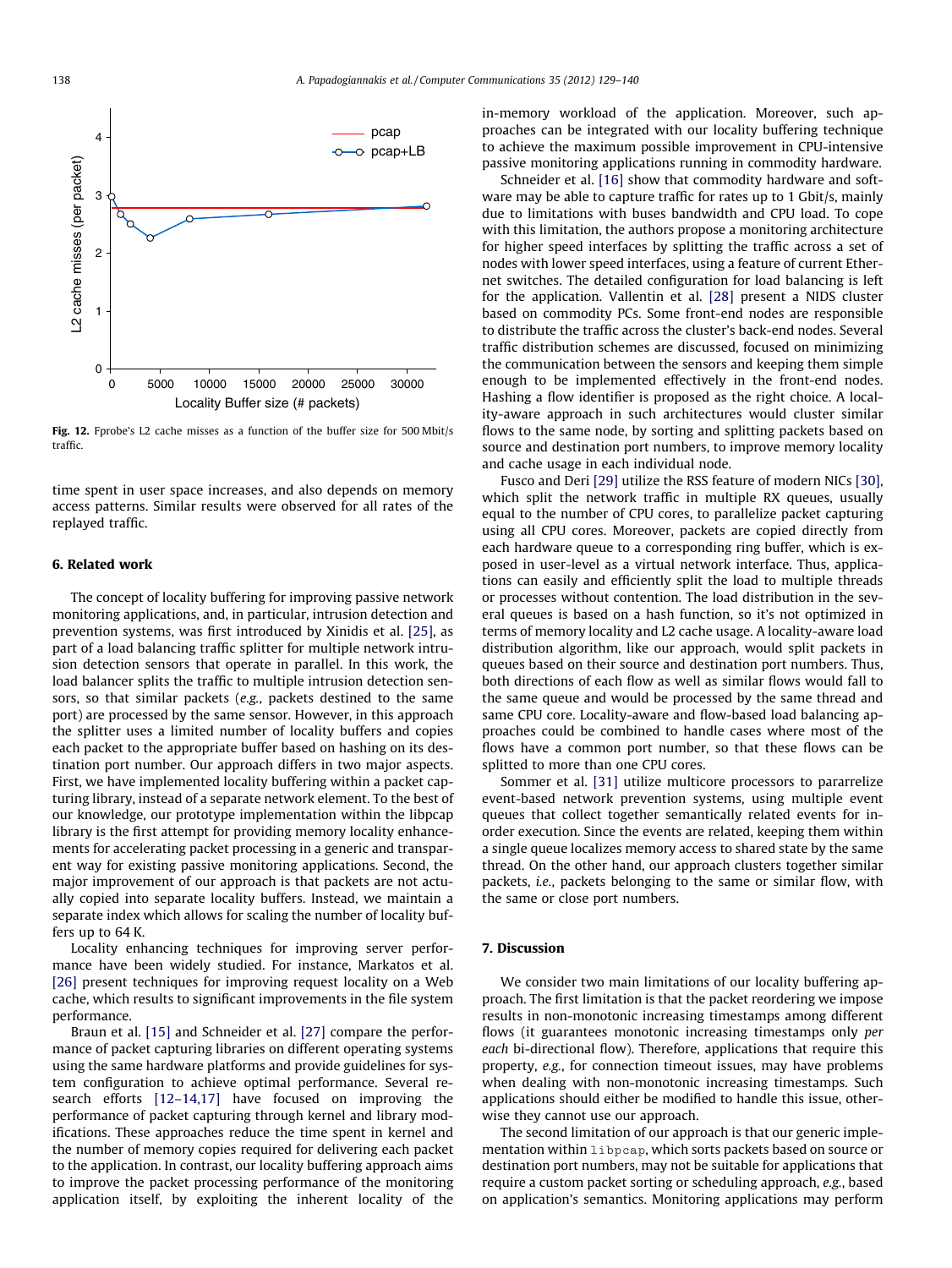<span id="page-9-0"></span>

Fig. 12. Fprobe's L2 cache misses as a function of the buffer size for 500 Mbit/s traffic.

time spent in user space increases, and also depends on memory access patterns. Similar results were observed for all rates of the replayed traffic.

# 6. Related work

The concept of locality buffering for improving passive network monitoring applications, and, in particular, intrusion detection and prevention systems, was first introduced by Xinidis et al. [\[25\],](#page-11-0) as part of a load balancing traffic splitter for multiple network intrusion detection sensors that operate in parallel. In this work, the load balancer splits the traffic to multiple intrusion detection sensors, so that similar packets (e.g., packets destined to the same port) are processed by the same sensor. However, in this approach the splitter uses a limited number of locality buffers and copies each packet to the appropriate buffer based on hashing on its destination port number. Our approach differs in two major aspects. First, we have implemented locality buffering within a packet capturing library, instead of a separate network element. To the best of our knowledge, our prototype implementation within the libpcap library is the first attempt for providing memory locality enhancements for accelerating packet processing in a generic and transparent way for existing passive monitoring applications. Second, the major improvement of our approach is that packets are not actually copied into separate locality buffers. Instead, we maintain a separate index which allows for scaling the number of locality buffers up to 64 K.

Locality enhancing techniques for improving server performance have been widely studied. For instance, Markatos et al. [\[26\]](#page-11-0) present techniques for improving request locality on a Web cache, which results to significant improvements in the file system performance.

Braun et al. [\[15\]](#page-10-0) and Schneider et al. [\[27\]](#page-11-0) compare the performance of packet capturing libraries on different operating systems using the same hardware platforms and provide guidelines for system configuration to achieve optimal performance. Several research efforts [\[12–14,17\]](#page-10-0) have focused on improving the performance of packet capturing through kernel and library modifications. These approaches reduce the time spent in kernel and the number of memory copies required for delivering each packet to the application. In contrast, our locality buffering approach aims to improve the packet processing performance of the monitoring application itself, by exploiting the inherent locality of the in-memory workload of the application. Moreover, such approaches can be integrated with our locality buffering technique to achieve the maximum possible improvement in CPU-intensive passive monitoring applications running in commodity hardware.

Schneider et al. [\[16\]](#page-10-0) show that commodity hardware and software may be able to capture traffic for rates up to 1 Gbit/s, mainly due to limitations with buses bandwidth and CPU load. To cope with this limitation, the authors propose a monitoring architecture for higher speed interfaces by splitting the traffic across a set of nodes with lower speed interfaces, using a feature of current Ethernet switches. The detailed configuration for load balancing is left for the application. Vallentin et al. [\[28\]](#page-11-0) present a NIDS cluster based on commodity PCs. Some front-end nodes are responsible to distribute the traffic across the cluster's back-end nodes. Several traffic distribution schemes are discussed, focused on minimizing the communication between the sensors and keeping them simple enough to be implemented effectively in the front-end nodes. Hashing a flow identifier is proposed as the right choice. A locality-aware approach in such architectures would cluster similar flows to the same node, by sorting and splitting packets based on source and destination port numbers, to improve memory locality and cache usage in each individual node.

Fusco and Deri [\[29\]](#page-11-0) utilize the RSS feature of modern NICs [\[30\],](#page-11-0) which split the network traffic in multiple RX queues, usually equal to the number of CPU cores, to parallelize packet capturing using all CPU cores. Moreover, packets are copied directly from each hardware queue to a corresponding ring buffer, which is exposed in user-level as a virtual network interface. Thus, applications can easily and efficiently split the load to multiple threads or processes without contention. The load distribution in the several queues is based on a hash function, so it's not optimized in terms of memory locality and L2 cache usage. A locality-aware load distribution algorithm, like our approach, would split packets in queues based on their source and destination port numbers. Thus, both directions of each flow as well as similar flows would fall to the same queue and would be processed by the same thread and same CPU core. Locality-aware and flow-based load balancing approaches could be combined to handle cases where most of the flows have a common port number, so that these flows can be splitted to more than one CPU cores.

Sommer et al. [\[31\]](#page-11-0) utilize multicore processors to pararrelize event-based network prevention systems, using multiple event queues that collect together semantically related events for inorder execution. Since the events are related, keeping them within a single queue localizes memory access to shared state by the same thread. On the other hand, our approach clusters together similar packets, i.e., packets belonging to the same or similar flow, with the same or close port numbers.

# 7. Discussion

We consider two main limitations of our locality buffering approach. The first limitation is that the packet reordering we impose results in non-monotonic increasing timestamps among different flows (it guarantees monotonic increasing timestamps only per each bi-directional flow). Therefore, applications that require this property, e.g., for connection timeout issues, may have problems when dealing with non-monotonic increasing timestamps. Such applications should either be modified to handle this issue, otherwise they cannot use our approach.

The second limitation of our approach is that our generic implementation within libpcap, which sorts packets based on source or destination port numbers, may not be suitable for applications that require a custom packet sorting or scheduling approach, e.g., based on application's semantics. Monitoring applications may perform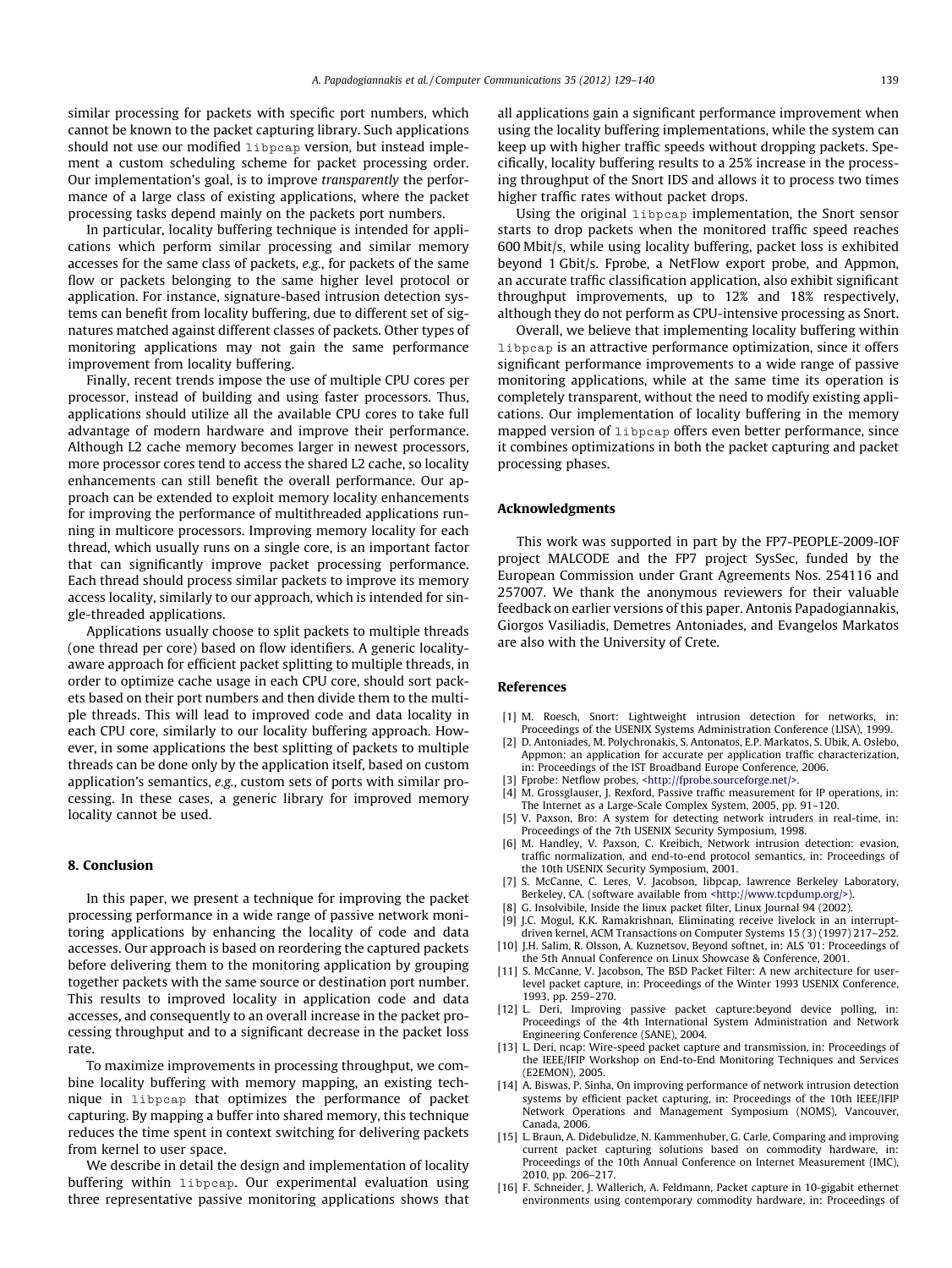<span id="page-10-0"></span>similar processing for packets with specific port numbers, which cannot be known to the packet capturing library. Such applications should not use our modified libpcap version, but instead implement a custom scheduling scheme for packet processing order. Our implementation's goal, is to improve transparently the performance of a large class of existing applications, where the packet processing tasks depend mainly on the packets port numbers.

In particular, locality buffering technique is intended for applications which perform similar processing and similar memory accesses for the same class of packets, e.g., for packets of the same flow or packets belonging to the same higher level protocol or application. For instance, signature-based intrusion detection systems can benefit from locality buffering, due to different set of signatures matched against different classes of packets. Other types of monitoring applications may not gain the same performance improvement from locality buffering.

Finally, recent trends impose the use of multiple CPU cores per processor, instead of building and using faster processors. Thus, applications should utilize all the available CPU cores to take full advantage of modern hardware and improve their performance. Although L2 cache memory becomes larger in newest processors, more processor cores tend to access the shared L2 cache, so locality enhancements can still benefit the overall performance. Our approach can be extended to exploit memory locality enhancements for improving the performance of multithreaded applications running in multicore processors. Improving memory locality for each thread, which usually runs on a single core, is an important factor that can significantly improve packet processing performance. Each thread should process similar packets to improve its memory access locality, similarly to our approach, which is intended for single-threaded applications.

Applications usually choose to split packets to multiple threads (one thread per core) based on flow identifiers. A generic localityaware approach for efficient packet splitting to multiple threads, in order to optimize cache usage in each CPU core, should sort packets based on their port numbers and then divide them to the multiple threads. This will lead to improved code and data locality in each CPU core, similarly to our locality buffering approach. However, in some applications the best splitting of packets to multiple threads can be done only by the application itself, based on custom application's semantics, e.g., custom sets of ports with similar processing. In these cases, a generic library for improved memory locality cannot be used.

#### 8. Conclusion

In this paper, we present a technique for improving the packet processing performance in a wide range of passive network monitoring applications by enhancing the locality of code and data accesses. Our approach is based on reordering the captured packets before delivering them to the monitoring application by grouping together packets with the same source or destination port number. This results to improved locality in application code and data accesses, and consequently to an overall increase in the packet processing throughput and to a significant decrease in the packet loss rate.

To maximize improvements in processing throughput, we combine locality buffering with memory mapping, an existing technique in libpcap that optimizes the performance of packet capturing. By mapping a buffer into shared memory, this technique reduces the time spent in context switching for delivering packets from kernel to user space.

We describe in detail the design and implementation of locality buffering within libpcap. Our experimental evaluation using three representative passive monitoring applications shows that all applications gain a significant performance improvement when using the locality buffering implementations, while the system can keep up with higher traffic speeds without dropping packets. Specifically, locality buffering results to a 25% increase in the processing throughput of the Snort IDS and allows it to process two times higher traffic rates without packet drops.

Using the original libpcap implementation, the Snort sensor starts to drop packets when the monitored traffic speed reaches 600 Mbit/s, while using locality buffering, packet loss is exhibited beyond 1 Gbit/s. Fprobe, a NetFlow export probe, and Appmon, an accurate traffic classification application, also exhibit significant throughput improvements, up to 12% and 18% respectively, although they do not perform as CPU-intensive processing as Snort.

Overall, we believe that implementing locality buffering within libpcap is an attractive performance optimization, since it offers significant performance improvements to a wide range of passive monitoring applications, while at the same time its operation is completely transparent, without the need to modify existing applications. Our implementation of locality buffering in the memory mapped version of libpcap offers even better performance, since it combines optimizations in both the packet capturing and packet processing phases.

## Acknowledgments

This work was supported in part by the FP7-PEOPLE-2009-IOF project MALCODE and the FP7 project SysSec, funded by the European Commission under Grant Agreements Nos. 254116 and 257007. We thank the anonymous reviewers for their valuable feedback on earlier versions of this paper. Antonis Papadogiannakis, Giorgos Vasiliadis, Demetres Antoniades, and Evangelos Markatos are also with the University of Crete.

#### References

- [1] M. Roesch, Snort: Lightweight intrusion detection for networks, in: Proceedings of the USENIX Systems Administration Conference (LISA), 1999.
- [2] D. Antoniades, M. Polychronakis, S. Antonatos, E.P. Markatos, S. Ubik, A. Oslebo, Appmon: an application for accurate per application traffic characterization, in: Proceedings of the IST Broadband Europe Conference, 2006.
- Fprobe: Netflow probes, [<http://fprobe.sourceforge.net/>.](http://fprobe.sourceforge.net/)
- [4] M. Grossglauser, J. Rexford, Passive traffic measurement for IP operations, in: The Internet as a Large-Scale Complex System, 2005, pp. 91–120.
- V. Paxson, Bro: A system for detecting network intruders in real-time, in: Proceedings of the 7th USENIX Security Symposium, 1998.
- [6] M. Handley, V. Paxson, C. Kreibich, Network intrusion detection: evasion, traffic normalization, and end-to-end protocol semantics, in: Proceedings of the 10th USENIX Security Symposium, 2001.
- S. McCanne, C. Leres, V. Jacobson, libpcap, lawrence Berkeley Laboratory, Berkeley, CA. (software available from [<http://www.tcpdump.org/>\)](http://www.tcpdump.org/).
- [8] G. Insolvibile, Inside the linux packet filter, Linux Journal 94 (2002).
- [9] J.C. Mogul, K.K. Ramakrishnan, Eliminating receive livelock in an interruptdriven kernel, ACM Transactions on Computer Systems 15 (3) (1997) 217–252.
- [10] J.H. Salim, R. Olsson, A. Kuznetsov, Beyond softnet, in: ALS '01: Proceedings of the 5th Annual Conference on Linux Showcase & Conference, 2001.
- [11] S. McCanne, V. Jacobson, The BSD Packet Filter: A new architecture for userlevel packet capture, in: Proceedings of the Winter 1993 USENIX Conference, 1993, pp. 259–270.
- [12] L. Deri, Improving passive packet capture:beyond device polling, in: Proceedings of the 4th International System Administration and Network Engineering Conference (SANE), 2004.
- [13] L. Deri, ncap: Wire-speed packet capture and transmission, in: Proceedings of the IEEE/IFIP Workshop on End-to-End Monitoring Techniques and Services (E2EMON), 2005.
- [14] A. Biswas, P. Sinha, On improving performance of network intrusion detection systems by efficient packet capturing, in: Proceedings of the 10th IEEE/IFIP Network Operations and Management Symposium (NOMS), Vancouver, Canada, 2006.
- [15] L. Braun, A. Didebulidze, N. Kammenhuber, G. Carle, Comparing and improving current packet capturing solutions based on commodity hardware, in: Proceedings of the 10th Annual Conference on Internet Measurement (IMC), 2010, pp. 206–217.
- [16] F. Schneider, J. Wallerich, A. Feldmann, Packet capture in 10-gigabit ethernet environments using contemporary commodity hardware, in: Proceedings of